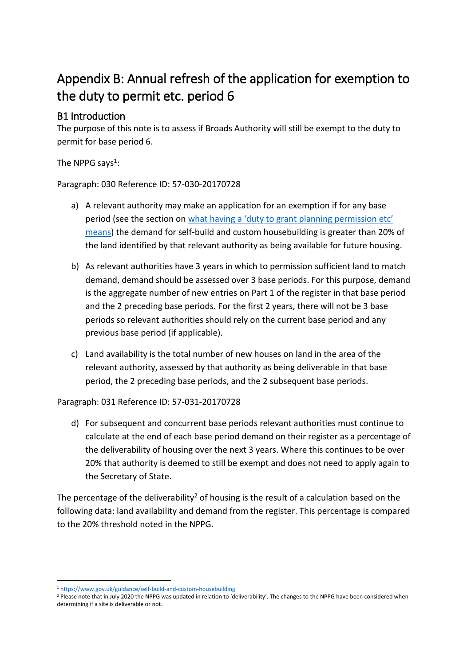# Appendix B: Annual refresh of the application for exemption to the duty to permit etc. period 6

# B1 Introduction

The purpose of this note is to assess if Broads Authority will still be exempt to the duty to permit for base period 6.

The NPPG says<sup>1</sup>:

Paragraph: 030 Reference ID: 57-030-20170728

- a) A relevant authority may make an application for an exemption if for any base period (see the section on what having a 'duty to grant planning [permission](https://www.gov.uk/guidance/self-build-and-custom-housebuilding#land-duties) etc' [means\)](https://www.gov.uk/guidance/self-build-and-custom-housebuilding#land-duties) the demand for self-build and custom housebuilding is greater than 20% of the land identified by that relevant authority as being available for future housing.
- b) As relevant authorities have 3 years in which to permission sufficient land to match demand, demand should be assessed over 3 base periods. For this purpose, demand is the aggregate number of new entries on Part 1 of the register in that base period and the 2 preceding base periods. For the first 2 years, there will not be 3 base periods so relevant authorities should rely on the current base period and any previous base period (if applicable).
- c) Land availability is the total number of new houses on land in the area of the relevant authority, assessed by that authority as being deliverable in that base period, the 2 preceding base periods, and the 2 subsequent base periods.

Paragraph: 031 Reference ID: 57-031-20170728

d) For subsequent and concurrent base periods relevant authorities must continue to calculate at the end of each base period demand on their register as a percentage of the deliverability of housing over the next 3 years. Where this continues to be over 20% that authority is deemed to still be exempt and does not need to apply again to the Secretary of State.

The percentage of the deliverability<sup>2</sup> of housing is the result of a calculation based on the following data: land availability and demand from the register. This percentage is compared to the 20% threshold noted in the NPPG.

<sup>-</sup><sup>1</sup> <https://www.gov.uk/guidance/self-build-and-custom-housebuilding>

<sup>&</sup>lt;sup>2</sup> Please note that in July 2020 the NPPG was updated in relation to 'deliverability'. The changes to the NPPG have been considered when determining if a site is deliverable or not.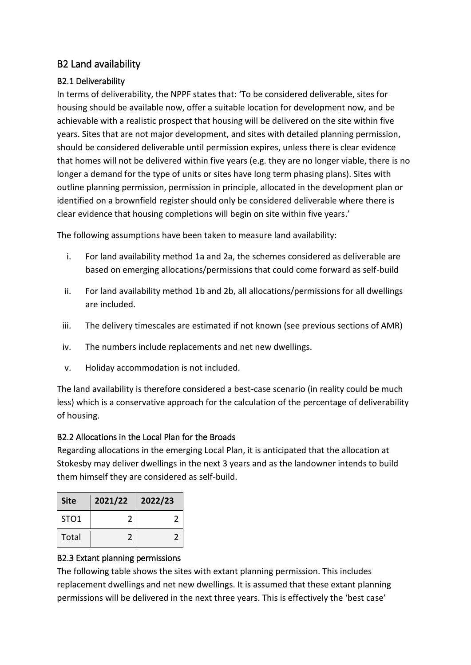## B2 Land availability

## B2.1 Deliverability

In terms of deliverability, the NPPF states that: 'To be considered deliverable, sites for housing should be available now, offer a suitable location for development now, and be achievable with a realistic prospect that housing will be delivered on the site within five years. Sites that are not major development, and sites with detailed planning permission, should be considered deliverable until permission expires, unless there is clear evidence that homes will not be delivered within five years (e.g. they are no longer viable, there is no longer a demand for the type of units or sites have long term phasing plans). Sites with outline planning permission, permission in principle, allocated in the development plan or identified on a brownfield register should only be considered deliverable where there is clear evidence that housing completions will begin on site within five years.'

The following assumptions have been taken to measure land availability:

- i. For land availability method 1a and 2a, the schemes considered as deliverable are based on emerging allocations/permissions that could come forward as self-build
- ii. For land availability method 1b and 2b, all allocations/permissions for all dwellings are included.
- iii. The delivery timescales are estimated if not known (see previous sections of AMR)
- iv. The numbers include replacements and net new dwellings.
- v. Holiday accommodation is not included.

The land availability is therefore considered a best-case scenario (in reality could be much less) which is a conservative approach for the calculation of the percentage of deliverability of housing.

#### B2.2 Allocations in the Local Plan for the Broads

Regarding allocations in the emerging Local Plan, it is anticipated that the allocation at Stokesby may deliver dwellings in the next 3 years and as the landowner intends to build them himself they are considered as self-build.

| <b>Site</b>      | 2021/22 | 2022/23 |
|------------------|---------|---------|
| STO <sub>1</sub> |         |         |
| Total            |         |         |

#### B2.3 Extant planning permissions

The following table shows the sites with extant planning permission. This includes replacement dwellings and net new dwellings. It is assumed that these extant planning permissions will be delivered in the next three years. This is effectively the 'best case'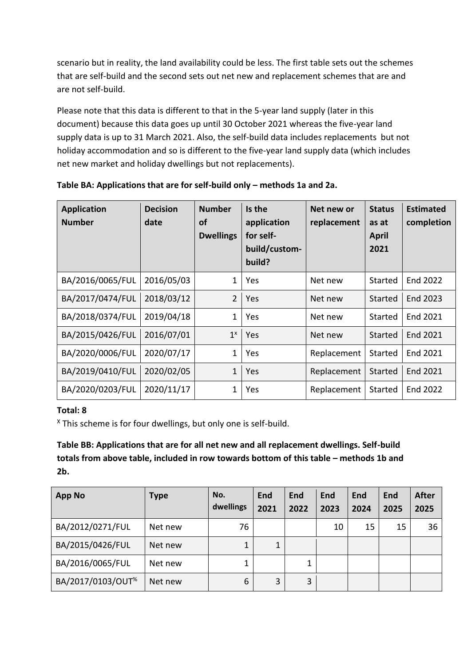scenario but in reality, the land availability could be less. The first table sets out the schemes that are self-build and the second sets out net new and replacement schemes that are and are not self-build.

Please note that this data is different to that in the 5-year land supply (later in this document) because this data goes up until 30 October 2021 whereas the five-year land supply data is up to 31 March 2021. Also, the self-build data includes replacements but not holiday accommodation and so is different to the five-year land supply data (which includes net new market and holiday dwellings but not replacements).

| <b>Application</b><br><b>Number</b> | <b>Decision</b><br>date | <b>Number</b><br><b>of</b><br><b>Dwellings</b> | Is the<br>application<br>for self-<br>build/custom-<br>build? | Net new or<br>replacement | <b>Status</b><br>as at<br><b>April</b><br>2021 | <b>Estimated</b><br>completion |
|-------------------------------------|-------------------------|------------------------------------------------|---------------------------------------------------------------|---------------------------|------------------------------------------------|--------------------------------|
| BA/2016/0065/FUL                    | 2016/05/03              | 1                                              | Yes                                                           | Net new                   | Started                                        | End 2022                       |
| BA/2017/0474/FUL                    | 2018/03/12              | $\overline{2}$                                 | Yes                                                           | Net new                   | Started                                        | End 2023                       |
| BA/2018/0374/FUL                    | 2019/04/18              | 1                                              | Yes                                                           | Net new                   | Started                                        | End 2021                       |
| BA/2015/0426/FUL                    | 2016/07/01              | $1^x$                                          | Yes                                                           | Net new                   | Started                                        | End 2021                       |
| BA/2020/0006/FUL                    | 2020/07/17              | 1                                              | Yes                                                           | Replacement               | Started                                        | End 2021                       |
| BA/2019/0410/FUL                    | 2020/02/05              | $\mathbf 1$                                    | Yes                                                           | Replacement               | Started                                        | End 2021                       |
| BA/2020/0203/FUL                    | 2020/11/17              | 1                                              | Yes                                                           | Replacement               | Started                                        | End 2022                       |

Table BA: Applications that are for self-build only – methods 1a and 2a.

#### **Total: 8**

<sup>X</sup> This scheme is for four dwellings, but only one is self-build.

## **Table BB: Applications that are for all net new and all replacement dwellings. Self-build totals from above table, included in row towards bottom of this table – methods 1b and 2b.**

| <b>App No</b>                 | <b>Type</b> | No.<br>dwellings | End<br>2021 | End<br>2022 | End<br>2023 | End<br>2024 | End<br>2025 | <b>After</b><br>2025 |
|-------------------------------|-------------|------------------|-------------|-------------|-------------|-------------|-------------|----------------------|
| BA/2012/0271/FUL              | Net new     | 76               |             |             | 10          | 15          | 15          | 36                   |
| BA/2015/0426/FUL              | Net new     | 1                | 1           |             |             |             |             |                      |
| BA/2016/0065/FUL              | Net new     | 1                |             | 1           |             |             |             |                      |
| BA/2017/0103/OUT <sup>%</sup> | Net new     | 6                | 3           | 3           |             |             |             |                      |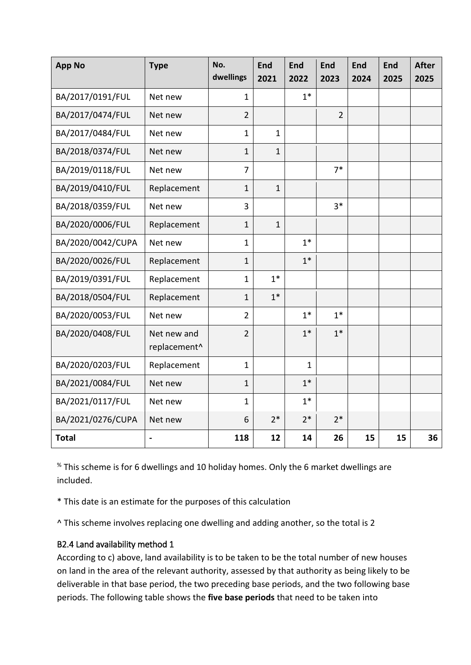| <b>App No</b>     | <b>Type</b>                 | No.<br>dwellings | <b>End</b><br>2021 | <b>End</b><br>2022 | <b>End</b><br>2023 | <b>End</b><br>2024 | <b>End</b><br>2025 | <b>After</b><br>2025 |
|-------------------|-----------------------------|------------------|--------------------|--------------------|--------------------|--------------------|--------------------|----------------------|
| BA/2017/0191/FUL  | Net new                     | $\mathbf{1}$     |                    | $1*$               |                    |                    |                    |                      |
| BA/2017/0474/FUL  | Net new                     | $\overline{2}$   |                    |                    | $\overline{2}$     |                    |                    |                      |
| BA/2017/0484/FUL  | Net new                     | $\mathbf{1}$     | $\mathbf{1}$       |                    |                    |                    |                    |                      |
| BA/2018/0374/FUL  | Net new                     | $\mathbf{1}$     | $\mathbf{1}$       |                    |                    |                    |                    |                      |
| BA/2019/0118/FUL  | Net new                     | $\overline{7}$   |                    |                    | $7*$               |                    |                    |                      |
| BA/2019/0410/FUL  | Replacement                 | $\mathbf{1}$     | $\mathbf{1}$       |                    |                    |                    |                    |                      |
| BA/2018/0359/FUL  | Net new                     | 3                |                    |                    | $3*$               |                    |                    |                      |
| BA/2020/0006/FUL  | Replacement                 | $\mathbf{1}$     | $\mathbf{1}$       |                    |                    |                    |                    |                      |
| BA/2020/0042/CUPA | Net new                     | $\mathbf{1}$     |                    | $1*$               |                    |                    |                    |                      |
| BA/2020/0026/FUL  | Replacement                 | $\mathbf{1}$     |                    | $1^*$              |                    |                    |                    |                      |
| BA/2019/0391/FUL  | Replacement                 | $\mathbf{1}$     | $1*$               |                    |                    |                    |                    |                      |
| BA/2018/0504/FUL  | Replacement                 | $\mathbf{1}$     | $1^*$              |                    |                    |                    |                    |                      |
| BA/2020/0053/FUL  | Net new                     | $\overline{2}$   |                    | $1*$               | $1*$               |                    |                    |                      |
| BA/2020/0408/FUL  | Net new and<br>replacement^ | $\overline{2}$   |                    | $1*$               | $1*$               |                    |                    |                      |
| BA/2020/0203/FUL  | Replacement                 | $\mathbf{1}$     |                    | $\mathbf{1}$       |                    |                    |                    |                      |
| BA/2021/0084/FUL  | Net new                     | $\mathbf{1}$     |                    | $1^*$              |                    |                    |                    |                      |
| BA/2021/0117/FUL  | Net new                     | $\mathbf{1}$     |                    | $1*$               |                    |                    |                    |                      |
| BA/2021/0276/CUPA | Net new                     | 6                | $2*$               | $2*$               | $2*$               |                    |                    |                      |
| <b>Total</b>      |                             | 118              | 12                 | 14                 | 26                 | 15                 | 15                 | 36                   |

% This scheme is for 6 dwellings and 10 holiday homes. Only the 6 market dwellings are included.

\* This date is an estimate for the purposes of this calculation

^ This scheme involves replacing one dwelling and adding another, so the total is 2

#### B2.4 Land availability method 1

According to c) above, land availability is to be taken to be the total number of new houses on land in the area of the relevant authority, assessed by that authority as being likely to be deliverable in that base period, the two preceding base periods, and the two following base periods. The following table shows the **five base periods** that need to be taken into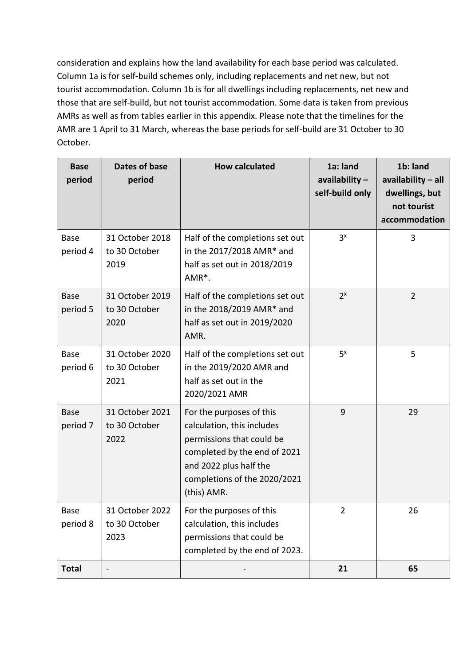consideration and explains how the land availability for each base period was calculated. Column 1a is for self-build schemes only, including replacements and net new, but not tourist accommodation. Column 1b is for all dwellings including replacements, net new and those that are self-build, but not tourist accommodation. Some data is taken from previous AMRs as well as from tables earlier in this appendix. Please note that the timelines for the AMR are 1 April to 31 March, whereas the base periods for self-build are 31 October to 30 October.

| <b>Base</b><br>period   | Dates of base<br>period                  | <b>How calculated</b>                                                                                                                                                                        | 1a: land<br>availability $-$<br>self-build only | 1b: land<br>availability - all<br>dwellings, but<br>not tourist<br>accommodation |
|-------------------------|------------------------------------------|----------------------------------------------------------------------------------------------------------------------------------------------------------------------------------------------|-------------------------------------------------|----------------------------------------------------------------------------------|
| <b>Base</b><br>period 4 | 31 October 2018<br>to 30 October<br>2019 | Half of the completions set out<br>in the 2017/2018 AMR* and<br>half as set out in 2018/2019<br>AMR <sup>*</sup> .                                                                           | 3 <sup>x</sup>                                  | 3                                                                                |
| <b>Base</b><br>period 5 | 31 October 2019<br>to 30 October<br>2020 | Half of the completions set out<br>in the 2018/2019 AMR* and<br>half as set out in 2019/2020<br>AMR.                                                                                         | $2^{x}$                                         | $\overline{2}$                                                                   |
| <b>Base</b><br>period 6 | 31 October 2020<br>to 30 October<br>2021 | Half of the completions set out<br>in the 2019/2020 AMR and<br>half as set out in the<br>2020/2021 AMR                                                                                       | $5^x$                                           | 5                                                                                |
| <b>Base</b><br>period 7 | 31 October 2021<br>to 30 October<br>2022 | For the purposes of this<br>calculation, this includes<br>permissions that could be<br>completed by the end of 2021<br>and 2022 plus half the<br>completions of the 2020/2021<br>(this) AMR. | 9                                               | 29                                                                               |
| <b>Base</b><br>period 8 | 31 October 2022<br>to 30 October<br>2023 | For the purposes of this<br>calculation, this includes<br>permissions that could be<br>completed by the end of 2023.                                                                         | 2                                               | 26                                                                               |
| <b>Total</b>            |                                          |                                                                                                                                                                                              | 21                                              | 65                                                                               |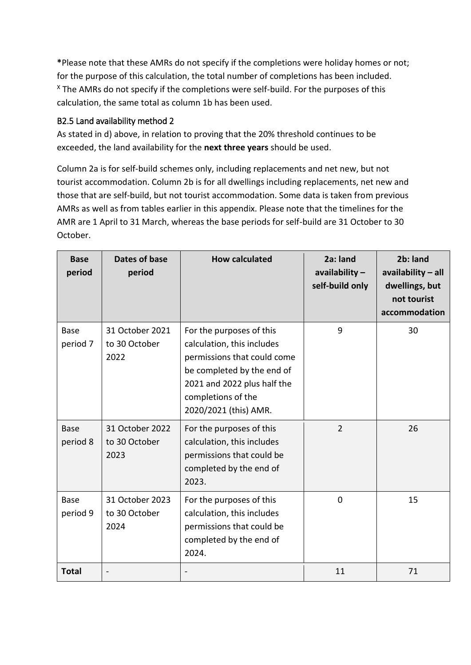**\***Please note that these AMRs do not specify if the completions were holiday homes or not; for the purpose of this calculation, the total number of completions has been included. <sup>X</sup> The AMRs do not specify if the completions were self-build. For the purposes of this calculation, the same total as column 1b has been used.

## B2.5 Land availability method 2

As stated in d) above, in relation to proving that the 20% threshold continues to be exceeded, the land availability for the **next three years** should be used.

Column 2a is for self-build schemes only, including replacements and net new, but not tourist accommodation. Column 2b is for all dwellings including replacements, net new and those that are self-build, but not tourist accommodation. Some data is taken from previous AMRs as well as from tables earlier in this appendix. Please note that the timelines for the AMR are 1 April to 31 March, whereas the base periods for self-build are 31 October to 30 October.

| <b>Base</b><br>period   | Dates of base<br>period                  | <b>How calculated</b>                                                                                                                                                                             | 2a: land<br>availability $-$<br>self-build only | 2b: land<br>availability - all<br>dwellings, but<br>not tourist<br>accommodation |
|-------------------------|------------------------------------------|---------------------------------------------------------------------------------------------------------------------------------------------------------------------------------------------------|-------------------------------------------------|----------------------------------------------------------------------------------|
| <b>Base</b><br>period 7 | 31 October 2021<br>to 30 October<br>2022 | For the purposes of this<br>calculation, this includes<br>permissions that could come<br>be completed by the end of<br>2021 and 2022 plus half the<br>completions of the<br>2020/2021 (this) AMR. | 9                                               | 30                                                                               |
| <b>Base</b><br>period 8 | 31 October 2022<br>to 30 October<br>2023 | For the purposes of this<br>calculation, this includes<br>permissions that could be<br>completed by the end of<br>2023.                                                                           | $\overline{2}$                                  | 26                                                                               |
| Base<br>period 9        | 31 October 2023<br>to 30 October<br>2024 | For the purposes of this<br>calculation, this includes<br>permissions that could be<br>completed by the end of<br>2024.                                                                           | $\mathbf 0$                                     | 15                                                                               |
| <b>Total</b>            |                                          |                                                                                                                                                                                                   | 11                                              | 71                                                                               |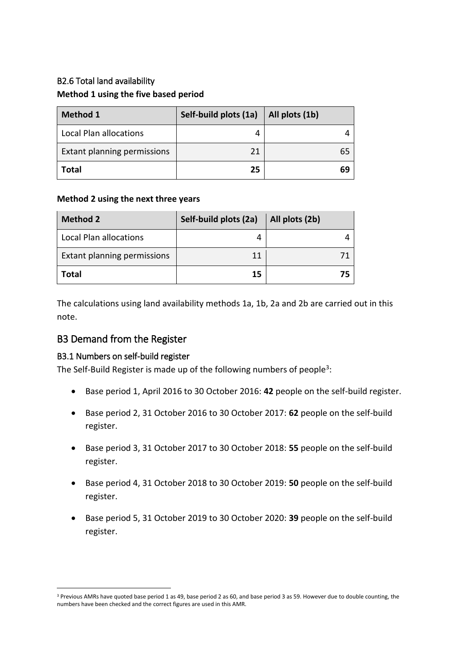# B2.6 Total land availability **Method 1 using the five based period**

| <b>Method 1</b>             | Self-build plots (1a) | All plots (1b) |
|-----------------------------|-----------------------|----------------|
| Local Plan allocations      |                       |                |
| Extant planning permissions | 21                    | 65             |
| <b>Total</b>                | 25                    | 69             |

#### **Method 2 using the next three years**

| <b>Method 2</b>             | Self-build plots (2a) | All plots (2b) |
|-----------------------------|-----------------------|----------------|
| Local Plan allocations      |                       |                |
| Extant planning permissions | 11                    |                |
| <b>Total</b>                | 15                    | 75             |

The calculations using land availability methods 1a, 1b, 2a and 2b are carried out in this note.

#### B3 Demand from the Register

#### B3.1 Numbers on self-build register

-

The Self-Build Register is made up of the following numbers of people<sup>3</sup>:

- Base period 1, April 2016 to 30 October 2016: **42** people on the self-build register.
- Base period 2, 31 October 2016 to 30 October 2017: **62** people on the self-build register.
- Base period 3, 31 October 2017 to 30 October 2018: **55** people on the self-build register.
- Base period 4, 31 October 2018 to 30 October 2019: **50** people on the self-build register.
- Base period 5, 31 October 2019 to 30 October 2020: **39** people on the self-build register.

<sup>&</sup>lt;sup>3</sup> Previous AMRs have quoted base period 1 as 49, base period 2 as 60, and base period 3 as 59. However due to double counting, the numbers have been checked and the correct figures are used in this AMR.